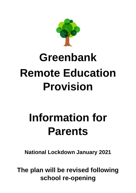

# **Greenbank Remote Education Provision**

## **Information for Parents**

**National Lockdown January 2021**

**The plan will be revised following school re-opening**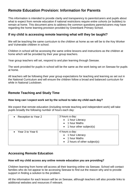## **Remote Education Provision: Information for Parents**

This information is intended to provide clarity and transparency to parents/carers and pupils about what to expect from remote education if national restrictions require entire cohorts (or bubbles) to remain at home. This document aims to address the common questions parents/carers may have regarding the home learning provision provided by Greenbank Primary School.

## **If my child is accessing remote learning what will they be taught?**

We will be teaching the same curriculum to the children at home as we will be to the Key Worker and Vulnerable children in school.

Children in school will be accessing the same online lessons and instructions as the children at home which will be provided by their year group teachers.

Year group teachers will set, respond to and plan learning through Seesaw.

The work provided for pupils in school will be the same as the work being set on Seesaw for pupils at home.

All teachers will be following their year group expectations for teaching and learning as set out in the National Curriculum and will ensure the children follow a broad and balanced curriculum for while in National Lockdown

## **Remote Teaching and Study Time**

#### **How long can I expect work set by the school to take my child each day?**

We expect that remote education (including remote teaching and independent work) will take pupils broadly the following number of hours each day:

| Reception to Year 2 | 3 hours a day:<br>• 1 hour Literacy<br>• 1 hour Maths<br>$\bullet$ 1 hour other subject(s) |
|---------------------|--------------------------------------------------------------------------------------------|
| Year 3 to Year 6    | 4 hours a day:<br>• 1 hour Literacy<br>1 hour Maths<br>• 2 hours of other subject(s)       |

## **Accessing Remote Education**

#### **How will my child access any online remote education you are providing?**

Children learning from home will access all their learning online via Seesaw. School will contact families who do not appear to be accessing Seesaw to find out the reason why and to provide support in finding a solution to the problem.

All the information for each lesson will be on Seesaw, although teachers will also provide links to additional websites and resources if relevant.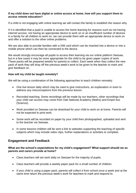#### **If my child does not have digital or online access at home, how will you support them to access remote education?**

If a child is not engaging with online learning we will contact the family to establish the reason why.

If it is identified that a pupil is unable to access the home learning for reasons such as not having internet access, not having an appropriate device to work on or an insufficient number of devices in a family for all children to work on, we can provide them with an appropriate device to work on and offer a solution to the other online problems.

We are also able to provide families with a SIM card which can be inserted into a device or into a mobile phone which can then be connected to the device.

We would strongly encourage all pupils to access their learning via our online platform Seesaw, but in a few cases it may be more appropriate for the child to be given paper copies of work. These packs will be prepared weekly for parents to collect. Each week when they collect the new pack of work they will drop off the previous week's work to be given to the teacher to mark and give feedback on.

#### **How will my child be taught remotely?**

We will be using a combination of the following approaches to teach children remotely:

- One live lesson daily which may be used to give instructions, an explanation or even to address any misconceptions from the previous lesson.
- Recorded teaching. Some recordings will be made by our teachers, other recordings that your child can access may come from Oak National Academy (Maths) and Empiri box (Science).
- Work provided on Seesaw can be download for your child to work on at home. Parents will not be expected to print work.
- Some work will be recorded on paper by your child then photographed, uploaded and sent to the teacher via Seesaw.
- In some lessons children will be sent a link to websites supporting the teaching of specific subjects which may include video clips, further explanations or activities to complete.

## **Engagement and Feedback**

#### **What are the school's expectations for my child's engagement? What support should we as parents and carers provide at home?**

- Class teachers will set work daily on Seesaw for the majority of pupils.
- Class teachers will provide a weekly paper pack for a small number of children.
- If your child is using a paper pack, parents will collect it from school once a week and at the same time return the previous week's work for teachers to mark and respond to.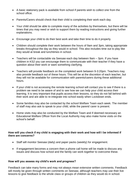- A basic stationery pack is available from school if parents wish to collect one from the school office.
- Parents/Carers should check that their child is completing their work each day.
- Your child should be able to complete many of the activities by themselves, but there will be times that you may need or wish to support them by reading instructions and giving further explanations.
- Encourage your child to do their best work and take their time to do it properly.
- Children should complete their work between the hours of 9am and 3pm, taking appropriate breaks throughout the day as they would in school. This also includes time out to play like they would at break and lunchtimes in school.
- Teachers will be contactable via Seesaw each day between 9am 3pm. If you have children in KS2 you can encourage them to communicate with their teacher if they have a question about their work or want something clarifying.
- Teachers will provide feedback on the completed work between 9-3:20pm. Teachers may also provide feedback out of these hours. This will be at the discretion of each teacher, but they will not be available for communication with parents/carers during these additional hours.
- If your child is not accessing the remote learning school will contact you to see if there is a problem we need to be aware of and to see how we can help your child access their learning. It is very important that pupils access their lessons, so they do not fall behind with their work and are able to re-integrate into school easily when Lockdown ends.
- Some families may also be contacted by the school Welfare Team each week. The member of staff may also ask to speak to your child, while the parent/ carer is present.
- Home visits may also be conducted by the Welfare Team and if deemed necessary an Educational Welfare Officer from the Local Authority may also make home visits on the school's behalf.

#### **How will you check if my child is engaging with their work and how will I be informed if there are concerns?**

- Staff will monitor Seesaw (daily) and paper packs (weekly) for engagement.
- If engagement becomes a concern then a phone call home will be made to discuss any issues and discuss how school and the family can work together to overcome these.

#### **How will you assess my child's work and progress?**

Feedback can take many forms and may not always mean extensive written comments. Feedback will mostly be given through written comments on Seesaw, although teachers may use their live lessons to give feedback to the whole class or groups of children as they would do in school.